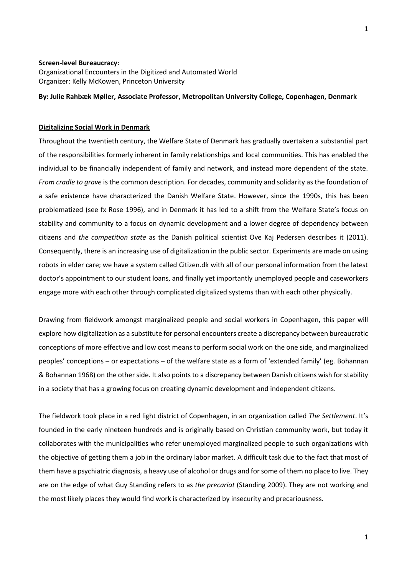### **Screen-level Bureaucracy:**

Organizational Encounters in the Digitized and Automated World Organizer: Kelly McKowen, Princeton University

# **By: Julie Rahbæk Møller, Associate Professor, Metropolitan University College, Copenhagen, Denmark**

# **Digitalizing Social Work in Denmark**

Throughout the twentieth century, the Welfare State of Denmark has gradually overtaken a substantial part of the responsibilities formerly inherent in family relationships and local communities. This has enabled the individual to be financially independent of family and network, and instead more dependent of the state. *From cradle to grave* is the common description. For decades, community and solidarity as the foundation of a safe existence have characterized the Danish Welfare State. However, since the 1990s, this has been problematized (see fx Rose 1996), and in Denmark it has led to a shift from the Welfare State's focus on stability and community to a focus on dynamic development and a lower degree of dependency between citizens and *the competition state* as the Danish political scientist Ove Kaj Pedersen describes it (2011). Consequently, there is an increasing use of digitalization in the public sector. Experiments are made on using robots in elder care; we have a system called Citizen.dk with all of our personal information from the latest doctor's appointment to our student loans, and finally yet importantly unemployed people and caseworkers engage more with each other through complicated digitalized systems than with each other physically.

Drawing from fieldwork amongst marginalized people and social workers in Copenhagen, this paper will explore how digitalization as a substitute for personal encounters create a discrepancy between bureaucratic conceptions of more effective and low cost means to perform social work on the one side, and marginalized peoples' conceptions – or expectations – of the welfare state as a form of 'extended family' (eg. Bohannan & Bohannan 1968) on the other side. It also points to a discrepancy between Danish citizens wish for stability in a society that has a growing focus on creating dynamic development and independent citizens.

The fieldwork took place in a red light district of Copenhagen, in an organization called *The Settlement*. It's founded in the early nineteen hundreds and is originally based on Christian community work, but today it collaborates with the municipalities who refer unemployed marginalized people to such organizations with the objective of getting them a job in the ordinary labor market. A difficult task due to the fact that most of them have a psychiatric diagnosis, a heavy use of alcohol or drugs and for some of them no place to live. They are on the edge of what Guy Standing refers to as *the precariat* (Standing 2009). They are not working and the most likely places they would find work is characterized by insecurity and precariousness.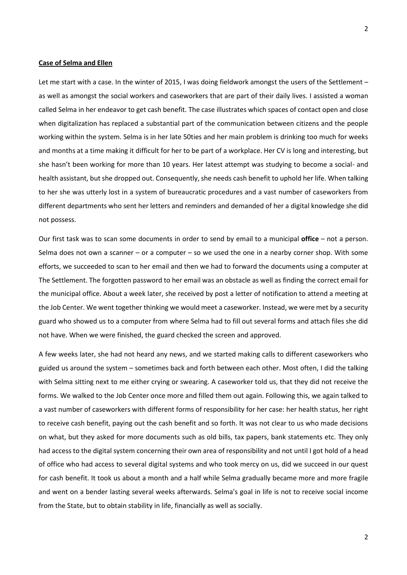# **Case of Selma and Ellen**

Let me start with a case. In the winter of 2015, I was doing fieldwork amongst the users of the Settlement – as well as amongst the social workers and caseworkers that are part of their daily lives. I assisted a woman called Selma in her endeavor to get cash benefit. The case illustrates which spaces of contact open and close when digitalization has replaced a substantial part of the communication between citizens and the people working within the system. Selma is in her late 50ties and her main problem is drinking too much for weeks and months at a time making it difficult for her to be part of a workplace. Her CV is long and interesting, but she hasn't been working for more than 10 years. Her latest attempt was studying to become a social- and health assistant, but she dropped out. Consequently, she needs cash benefit to uphold her life. When talking to her she was utterly lost in a system of bureaucratic procedures and a vast number of caseworkers from different departments who sent her letters and reminders and demanded of her a digital knowledge she did not possess.

Our first task was to scan some documents in order to send by email to a municipal **office** – not a person. Selma does not own a scanner – or a computer – so we used the one in a nearby corner shop. With some efforts, we succeeded to scan to her email and then we had to forward the documents using a computer at The Settlement. The forgotten password to her email was an obstacle as well as finding the correct email for the municipal office. About a week later, she received by post a letter of notification to attend a meeting at the Job Center. We went together thinking we would meet a caseworker. Instead, we were met by a security guard who showed us to a computer from where Selma had to fill out several forms and attach files she did not have. When we were finished, the guard checked the screen and approved.

A few weeks later, she had not heard any news, and we started making calls to different caseworkers who guided us around the system – sometimes back and forth between each other. Most often, I did the talking with Selma sitting next to me either crying or swearing. A caseworker told us, that they did not receive the forms. We walked to the Job Center once more and filled them out again. Following this, we again talked to a vast number of caseworkers with different forms of responsibility for her case: her health status, her right to receive cash benefit, paying out the cash benefit and so forth. It was not clear to us who made decisions on what, but they asked for more documents such as old bills, tax papers, bank statements etc. They only had access to the digital system concerning their own area of responsibility and not until I got hold of a head of office who had access to several digital systems and who took mercy on us, did we succeed in our quest for cash benefit. It took us about a month and a half while Selma gradually became more and more fragile and went on a bender lasting several weeks afterwards. Selma's goal in life is not to receive social income from the State, but to obtain stability in life, financially as well as socially.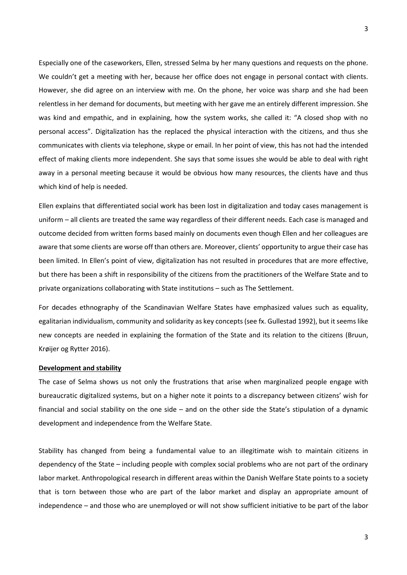Especially one of the caseworkers, Ellen, stressed Selma by her many questions and requests on the phone. We couldn't get a meeting with her, because her office does not engage in personal contact with clients. However, she did agree on an interview with me. On the phone, her voice was sharp and she had been relentless in her demand for documents, but meeting with her gave me an entirely different impression. She was kind and empathic, and in explaining, how the system works, she called it: "A closed shop with no personal access". Digitalization has the replaced the physical interaction with the citizens, and thus she communicates with clients via telephone, skype or email. In her point of view, this has not had the intended effect of making clients more independent. She says that some issues she would be able to deal with right away in a personal meeting because it would be obvious how many resources, the clients have and thus which kind of help is needed.

Ellen explains that differentiated social work has been lost in digitalization and today cases management is uniform – all clients are treated the same way regardless of their different needs. Each case is managed and outcome decided from written forms based mainly on documents even though Ellen and her colleagues are aware that some clients are worse off than others are. Moreover, clients' opportunity to argue their case has been limited. In Ellen's point of view, digitalization has not resulted in procedures that are more effective, but there has been a shift in responsibility of the citizens from the practitioners of the Welfare State and to private organizations collaborating with State institutions – such as The Settlement.

For decades ethnography of the Scandinavian Welfare States have emphasized values such as equality, egalitarian individualism, community and solidarity as key concepts (see fx. Gullestad 1992), but it seems like new concepts are needed in explaining the formation of the State and its relation to the citizens (Bruun, Krøijer og Rytter 2016).

#### **Development and stability**

The case of Selma shows us not only the frustrations that arise when marginalized people engage with bureaucratic digitalized systems, but on a higher note it points to a discrepancy between citizens' wish for financial and social stability on the one side – and on the other side the State's stipulation of a dynamic development and independence from the Welfare State.

Stability has changed from being a fundamental value to an illegitimate wish to maintain citizens in dependency of the State – including people with complex social problems who are not part of the ordinary labor market. Anthropological research in different areas within the Danish Welfare State points to a society that is torn between those who are part of the labor market and display an appropriate amount of independence – and those who are unemployed or will not show sufficient initiative to be part of the labor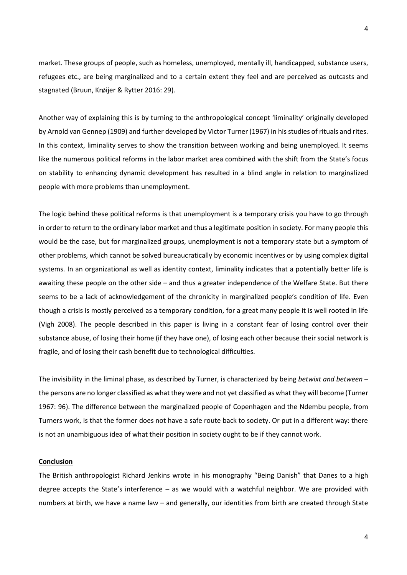market. These groups of people, such as homeless, unemployed, mentally ill, handicapped, substance users, refugees etc., are being marginalized and to a certain extent they feel and are perceived as outcasts and stagnated (Bruun, Krøijer & Rytter 2016: 29).

Another way of explaining this is by turning to the anthropological concept 'liminality' originally developed by Arnold van Gennep (1909) and further developed by Victor Turner (1967) in his studies of rituals and rites. In this context, liminality serves to show the transition between working and being unemployed. It seems like the numerous political reforms in the labor market area combined with the shift from the State's focus on stability to enhancing dynamic development has resulted in a blind angle in relation to marginalized people with more problems than unemployment.

The logic behind these political reforms is that unemployment is a temporary crisis you have to go through in order to return to the ordinary labor market and thus a legitimate position in society. For many people this would be the case, but for marginalized groups, unemployment is not a temporary state but a symptom of other problems, which cannot be solved bureaucratically by economic incentives or by using complex digital systems. In an organizational as well as identity context, liminality indicates that a potentially better life is awaiting these people on the other side – and thus a greater independence of the Welfare State. But there seems to be a lack of acknowledgement of the chronicity in marginalized people's condition of life. Even though a crisis is mostly perceived as a temporary condition, for a great many people it is well rooted in life (Vigh 2008). The people described in this paper is living in a constant fear of losing control over their substance abuse, of losing their home (if they have one), of losing each other because their social network is fragile, and of losing their cash benefit due to technological difficulties.

The invisibility in the liminal phase, as described by Turner, is characterized by being *betwixt and between* – the persons are no longer classified as what they were and not yet classified as what they will become (Turner 1967: 96). The difference between the marginalized people of Copenhagen and the Ndembu people, from Turners work, is that the former does not have a safe route back to society. Or put in a different way: there is not an unambiguous idea of what their position in society ought to be if they cannot work.

# **Conclusion**

The British anthropologist Richard Jenkins wrote in his monography "Being Danish" that Danes to a high degree accepts the State's interference – as we would with a watchful neighbor. We are provided with numbers at birth, we have a name law – and generally, our identities from birth are created through State